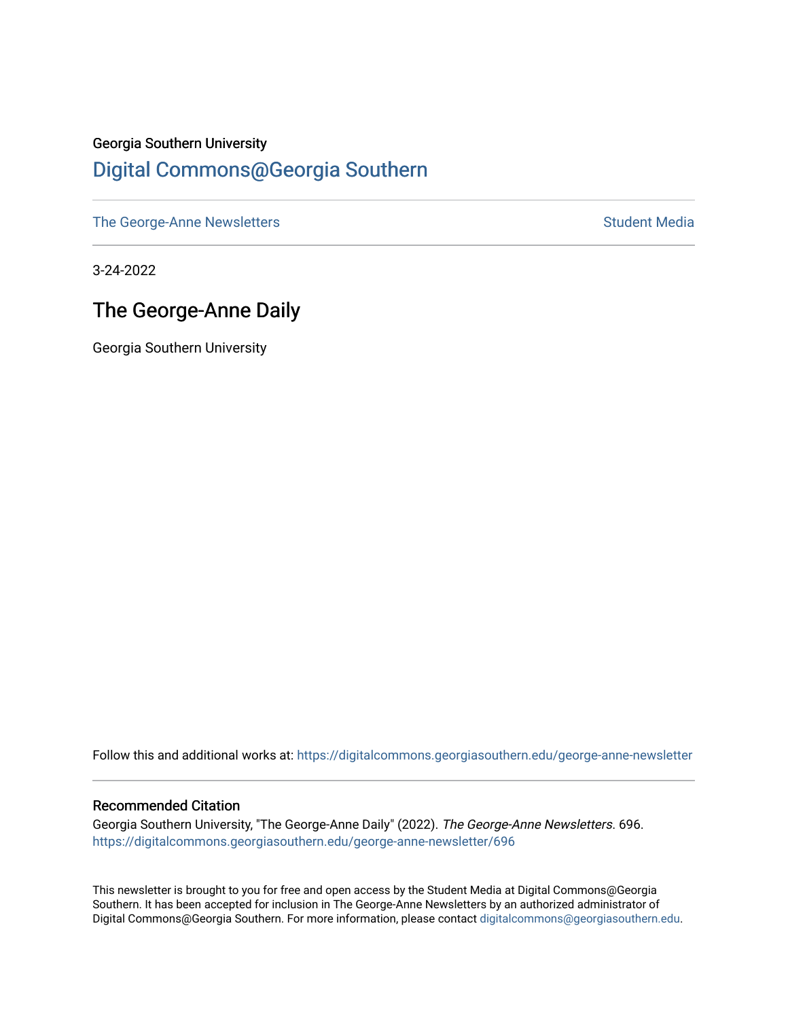## Georgia Southern University [Digital Commons@Georgia Southern](https://digitalcommons.georgiasouthern.edu/)

[The George-Anne Newsletters](https://digitalcommons.georgiasouthern.edu/george-anne-newsletter) **Student Media** Student Media

3-24-2022

## The George-Anne Daily

Georgia Southern University

Follow this and additional works at: [https://digitalcommons.georgiasouthern.edu/george-anne-newsletter](https://digitalcommons.georgiasouthern.edu/george-anne-newsletter?utm_source=digitalcommons.georgiasouthern.edu%2Fgeorge-anne-newsletter%2F696&utm_medium=PDF&utm_campaign=PDFCoverPages)

#### Recommended Citation

Georgia Southern University, "The George-Anne Daily" (2022). The George-Anne Newsletters. 696. [https://digitalcommons.georgiasouthern.edu/george-anne-newsletter/696](https://digitalcommons.georgiasouthern.edu/george-anne-newsletter/696?utm_source=digitalcommons.georgiasouthern.edu%2Fgeorge-anne-newsletter%2F696&utm_medium=PDF&utm_campaign=PDFCoverPages) 

This newsletter is brought to you for free and open access by the Student Media at Digital Commons@Georgia Southern. It has been accepted for inclusion in The George-Anne Newsletters by an authorized administrator of Digital Commons@Georgia Southern. For more information, please contact [digitalcommons@georgiasouthern.edu.](mailto:digitalcommons@georgiasouthern.edu)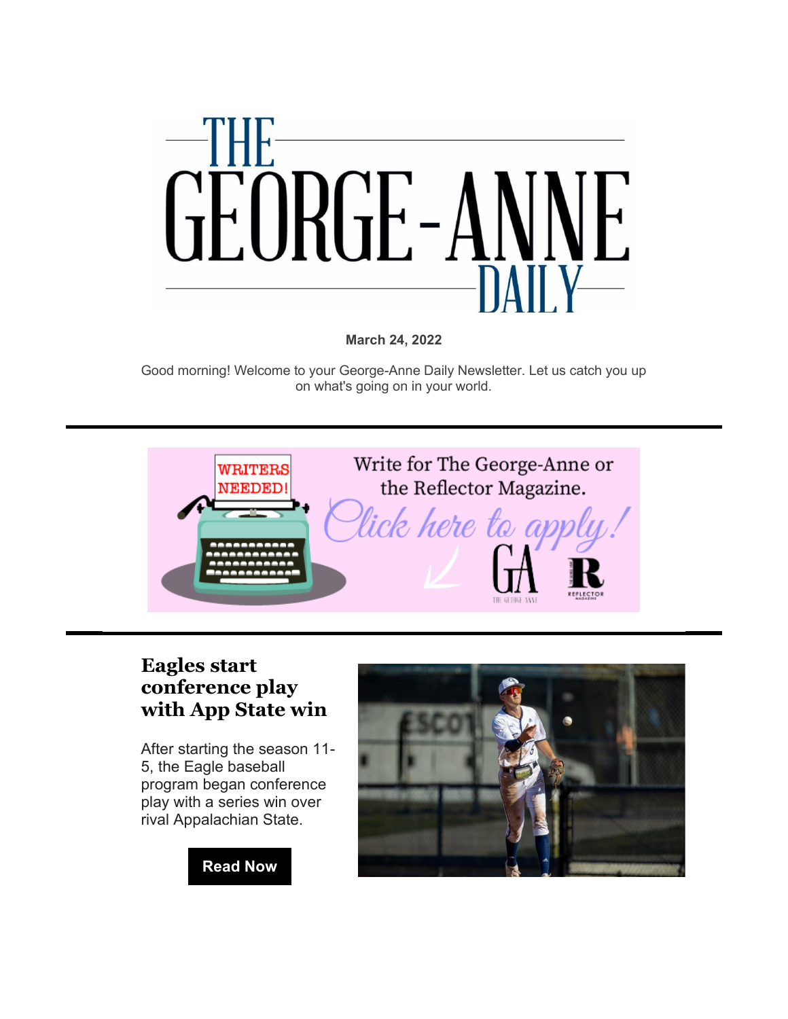

**March 24, 2022**

Good morning! Welcome to your George-Anne Daily Newsletter. Let us catch you up on what's going on in your world.



#### **[Eagles start](https://r20.rs6.net/tn.jsp?f=001SGhMAythphB7yJUPuKDRUxnG4-8_mwWVfyDbXZ6LXYpmQbFqSoOPi3uzIntU3gbUI--ZpKWzqmLNNMxlo56IEyKA3oEHE6cG09nw_93YJp7c8S7H9UHqm1Ynp5mMy1TwktwMqnczw6G0M_goTGGW1Tpdfl0Eyl6FMAZvCahfu2slUoCmxRskOa5XK2X6xPWXQOwvGO-y2a8LAf2i492GcSXE2g9OCARxdY8DRD7a4Dw=&c=hbjP-3rwBEt2ZAbpz8bb3wS1EP9gtoRcCHbXmxafxEU2ZMCWcm9esw==&ch=60HFwfeNcT_XffC1rfy0MQrxA57qvVhTbaodU23loysqkLvh5GGQfQ==)  [conference play](https://r20.rs6.net/tn.jsp?f=001SGhMAythphB7yJUPuKDRUxnG4-8_mwWVfyDbXZ6LXYpmQbFqSoOPi3uzIntU3gbUI--ZpKWzqmLNNMxlo56IEyKA3oEHE6cG09nw_93YJp7c8S7H9UHqm1Ynp5mMy1TwktwMqnczw6G0M_goTGGW1Tpdfl0Eyl6FMAZvCahfu2slUoCmxRskOa5XK2X6xPWXQOwvGO-y2a8LAf2i492GcSXE2g9OCARxdY8DRD7a4Dw=&c=hbjP-3rwBEt2ZAbpz8bb3wS1EP9gtoRcCHbXmxafxEU2ZMCWcm9esw==&ch=60HFwfeNcT_XffC1rfy0MQrxA57qvVhTbaodU23loysqkLvh5GGQfQ==)  [with App State win](https://r20.rs6.net/tn.jsp?f=001SGhMAythphB7yJUPuKDRUxnG4-8_mwWVfyDbXZ6LXYpmQbFqSoOPi3uzIntU3gbUI--ZpKWzqmLNNMxlo56IEyKA3oEHE6cG09nw_93YJp7c8S7H9UHqm1Ynp5mMy1TwktwMqnczw6G0M_goTGGW1Tpdfl0Eyl6FMAZvCahfu2slUoCmxRskOa5XK2X6xPWXQOwvGO-y2a8LAf2i492GcSXE2g9OCARxdY8DRD7a4Dw=&c=hbjP-3rwBEt2ZAbpz8bb3wS1EP9gtoRcCHbXmxafxEU2ZMCWcm9esw==&ch=60HFwfeNcT_XffC1rfy0MQrxA57qvVhTbaodU23loysqkLvh5GGQfQ==)**

After starting the season 11- 5, the Eagle baseball program began conference play with a series win over rival Appalachian State.

## **[Read Now](https://r20.rs6.net/tn.jsp?f=001SGhMAythphB7yJUPuKDRUxnG4-8_mwWVfyDbXZ6LXYpmQbFqSoOPi3uzIntU3gbUeNoOwfTMd4kZwZ2MnOFlDx9cqHaNEIFQp_wUNpumWGPMEOb8dlry0YllXjB79i0VrAqEtYsksgPxXqopgcqfP1hmj99AMcYckvazm9fhRWa5VonN7Z5hON5IGJWJXizhbhfoMgkKJS_dnfALOr6RB9-Oc1gwlNOn3c2IF3FgvrM=&c=hbjP-3rwBEt2ZAbpz8bb3wS1EP9gtoRcCHbXmxafxEU2ZMCWcm9esw==&ch=60HFwfeNcT_XffC1rfy0MQrxA57qvVhTbaodU23loysqkLvh5GGQfQ==)**

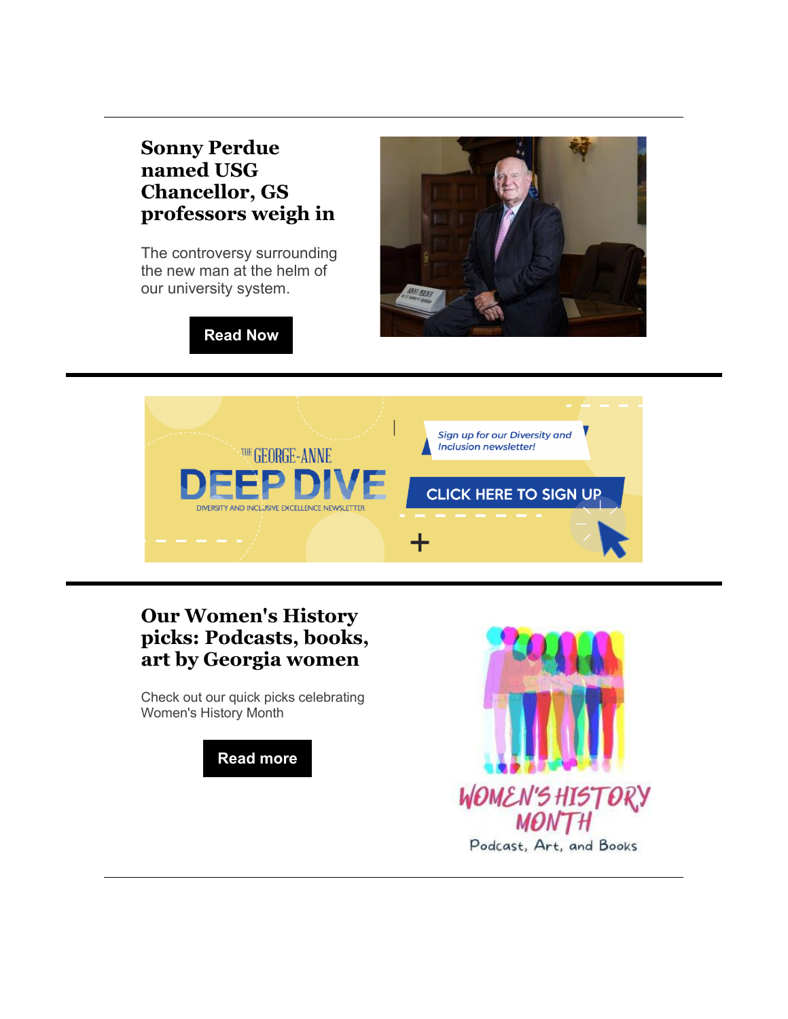### **[Sonny Perdue](https://r20.rs6.net/tn.jsp?f=001SGhMAythphB7yJUPuKDRUxnG4-8_mwWVfyDbXZ6LXYpmQbFqSoOPi3uzIntU3gbU7yB6k-Li-jmXJa34NZrLzVLlhtKeUKf0bX0If-miBha3JgXplQpRFFouVyzOMJ8KRbiRh5b5AjGFZIKZKRjwBdQ3Im6Z3tV6itDeQDP9t0ujSb7cEIyNKe817rT1Q2KQUZcotaNqMXoElQzYCEUio-S2mYSZG21mjKy3YiyxUQu0QLQVXy4bTmzgkJQBVa90UUkud42UJAACw644g_vNbw==&c=hbjP-3rwBEt2ZAbpz8bb3wS1EP9gtoRcCHbXmxafxEU2ZMCWcm9esw==&ch=60HFwfeNcT_XffC1rfy0MQrxA57qvVhTbaodU23loysqkLvh5GGQfQ==)  [named USG](https://r20.rs6.net/tn.jsp?f=001SGhMAythphB7yJUPuKDRUxnG4-8_mwWVfyDbXZ6LXYpmQbFqSoOPi3uzIntU3gbU7yB6k-Li-jmXJa34NZrLzVLlhtKeUKf0bX0If-miBha3JgXplQpRFFouVyzOMJ8KRbiRh5b5AjGFZIKZKRjwBdQ3Im6Z3tV6itDeQDP9t0ujSb7cEIyNKe817rT1Q2KQUZcotaNqMXoElQzYCEUio-S2mYSZG21mjKy3YiyxUQu0QLQVXy4bTmzgkJQBVa90UUkud42UJAACw644g_vNbw==&c=hbjP-3rwBEt2ZAbpz8bb3wS1EP9gtoRcCHbXmxafxEU2ZMCWcm9esw==&ch=60HFwfeNcT_XffC1rfy0MQrxA57qvVhTbaodU23loysqkLvh5GGQfQ==)  [Chancellor, GS](https://r20.rs6.net/tn.jsp?f=001SGhMAythphB7yJUPuKDRUxnG4-8_mwWVfyDbXZ6LXYpmQbFqSoOPi3uzIntU3gbU7yB6k-Li-jmXJa34NZrLzVLlhtKeUKf0bX0If-miBha3JgXplQpRFFouVyzOMJ8KRbiRh5b5AjGFZIKZKRjwBdQ3Im6Z3tV6itDeQDP9t0ujSb7cEIyNKe817rT1Q2KQUZcotaNqMXoElQzYCEUio-S2mYSZG21mjKy3YiyxUQu0QLQVXy4bTmzgkJQBVa90UUkud42UJAACw644g_vNbw==&c=hbjP-3rwBEt2ZAbpz8bb3wS1EP9gtoRcCHbXmxafxEU2ZMCWcm9esw==&ch=60HFwfeNcT_XffC1rfy0MQrxA57qvVhTbaodU23loysqkLvh5GGQfQ==)  [professors weigh in](https://r20.rs6.net/tn.jsp?f=001SGhMAythphB7yJUPuKDRUxnG4-8_mwWVfyDbXZ6LXYpmQbFqSoOPi3uzIntU3gbU7yB6k-Li-jmXJa34NZrLzVLlhtKeUKf0bX0If-miBha3JgXplQpRFFouVyzOMJ8KRbiRh5b5AjGFZIKZKRjwBdQ3Im6Z3tV6itDeQDP9t0ujSb7cEIyNKe817rT1Q2KQUZcotaNqMXoElQzYCEUio-S2mYSZG21mjKy3YiyxUQu0QLQVXy4bTmzgkJQBVa90UUkud42UJAACw644g_vNbw==&c=hbjP-3rwBEt2ZAbpz8bb3wS1EP9gtoRcCHbXmxafxEU2ZMCWcm9esw==&ch=60HFwfeNcT_XffC1rfy0MQrxA57qvVhTbaodU23loysqkLvh5GGQfQ==)**

The controversy surrounding the new man at the helm of our university system.



**[Read Now](https://r20.rs6.net/tn.jsp?f=001SGhMAythphB7yJUPuKDRUxnG4-8_mwWVfyDbXZ6LXYpmQbFqSoOPi3uzIntU3gbU7yB6k-Li-jmXJa34NZrLzVLlhtKeUKf0bX0If-miBha3JgXplQpRFFouVyzOMJ8KRbiRh5b5AjGFZIKZKRjwBdQ3Im6Z3tV6itDeQDP9t0ujSb7cEIyNKe817rT1Q2KQUZcotaNqMXoElQzYCEUio-S2mYSZG21mjKy3YiyxUQu0QLQVXy4bTmzgkJQBVa90UUkud42UJAACw644g_vNbw==&c=hbjP-3rwBEt2ZAbpz8bb3wS1EP9gtoRcCHbXmxafxEU2ZMCWcm9esw==&ch=60HFwfeNcT_XffC1rfy0MQrxA57qvVhTbaodU23loysqkLvh5GGQfQ==)**



## **[Our Women's History](https://r20.rs6.net/tn.jsp?f=001SGhMAythphB7yJUPuKDRUxnG4-8_mwWVfyDbXZ6LXYpmQbFqSoOPi16zEHnUVql0vd0DhTC4-LfPknuCuQE57GLAC5lQXUAKWu2R-jkLDMRhfuwV3TMSGzfez2kFevjP4PjX1JuBWiFM3dI5QqOMikD0QXXndrIen5CNuNCLWfPd3Lafn2wtWmCOh3Yhjrk9Y_7DN-gusKJrlsi-pkmwkAXULTB20EZhkpHnbNwVLSotcSI6XyKSUmMzD5lylkI5&c=hbjP-3rwBEt2ZAbpz8bb3wS1EP9gtoRcCHbXmxafxEU2ZMCWcm9esw==&ch=60HFwfeNcT_XffC1rfy0MQrxA57qvVhTbaodU23loysqkLvh5GGQfQ==)  [picks: Podcasts, books,](https://r20.rs6.net/tn.jsp?f=001SGhMAythphB7yJUPuKDRUxnG4-8_mwWVfyDbXZ6LXYpmQbFqSoOPi16zEHnUVql0vd0DhTC4-LfPknuCuQE57GLAC5lQXUAKWu2R-jkLDMRhfuwV3TMSGzfez2kFevjP4PjX1JuBWiFM3dI5QqOMikD0QXXndrIen5CNuNCLWfPd3Lafn2wtWmCOh3Yhjrk9Y_7DN-gusKJrlsi-pkmwkAXULTB20EZhkpHnbNwVLSotcSI6XyKSUmMzD5lylkI5&c=hbjP-3rwBEt2ZAbpz8bb3wS1EP9gtoRcCHbXmxafxEU2ZMCWcm9esw==&ch=60HFwfeNcT_XffC1rfy0MQrxA57qvVhTbaodU23loysqkLvh5GGQfQ==)  [art by Georgia women](https://r20.rs6.net/tn.jsp?f=001SGhMAythphB7yJUPuKDRUxnG4-8_mwWVfyDbXZ6LXYpmQbFqSoOPi16zEHnUVql0vd0DhTC4-LfPknuCuQE57GLAC5lQXUAKWu2R-jkLDMRhfuwV3TMSGzfez2kFevjP4PjX1JuBWiFM3dI5QqOMikD0QXXndrIen5CNuNCLWfPd3Lafn2wtWmCOh3Yhjrk9Y_7DN-gusKJrlsi-pkmwkAXULTB20EZhkpHnbNwVLSotcSI6XyKSUmMzD5lylkI5&c=hbjP-3rwBEt2ZAbpz8bb3wS1EP9gtoRcCHbXmxafxEU2ZMCWcm9esw==&ch=60HFwfeNcT_XffC1rfy0MQrxA57qvVhTbaodU23loysqkLvh5GGQfQ==)**

Check out our quick picks celebrating Women's History Month

**[Read more](https://r20.rs6.net/tn.jsp?f=001SGhMAythphB7yJUPuKDRUxnG4-8_mwWVfyDbXZ6LXYpmQbFqSoOPi16zEHnUVql0vd0DhTC4-LfPknuCuQE57GLAC5lQXUAKWu2R-jkLDMRhfuwV3TMSGzfez2kFevjP4PjX1JuBWiFM3dI5QqOMikD0QXXndrIen5CNuNCLWfPd3Lafn2wtWmCOh3Yhjrk9Y_7DN-gusKJrlsi-pkmwkAXULTB20EZhkpHnbNwVLSotcSI6XyKSUmMzD5lylkI5&c=hbjP-3rwBEt2ZAbpz8bb3wS1EP9gtoRcCHbXmxafxEU2ZMCWcm9esw==&ch=60HFwfeNcT_XffC1rfy0MQrxA57qvVhTbaodU23loysqkLvh5GGQfQ==)**

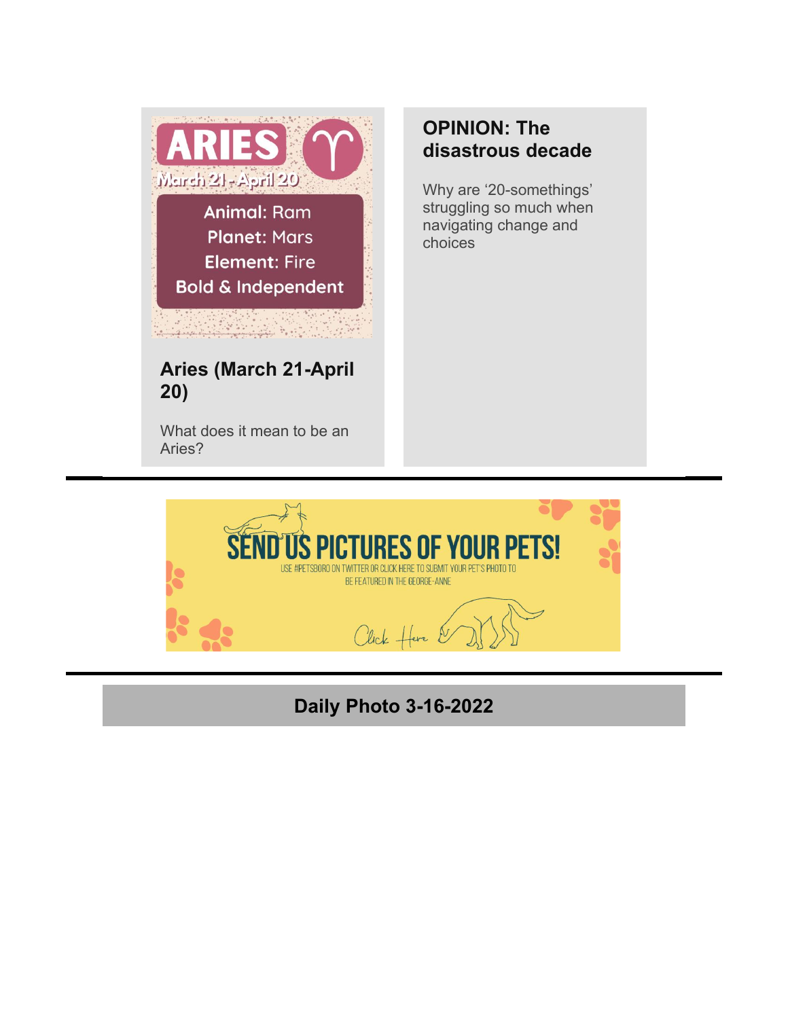

What does it mean to be an Aries?

## **[OPINION: The](https://r20.rs6.net/tn.jsp?f=001SGhMAythphB7yJUPuKDRUxnG4-8_mwWVfyDbXZ6LXYpmQbFqSoOPi3uzIntU3gbUkGGiCeylmoF-IEjXXeo0znPXW6suaHcApK7P4nKdTbXG1npcwK3KlnjASpH919-6Qb3rNg6d-QHxdstdizDePhsWezU8n1I2pJ8UVrOz9k3W5ZeDXCZ1nYTR8u4gnAV77yuFfRKmr0I9p6qRA2z-Rw==&c=hbjP-3rwBEt2ZAbpz8bb3wS1EP9gtoRcCHbXmxafxEU2ZMCWcm9esw==&ch=60HFwfeNcT_XffC1rfy0MQrxA57qvVhTbaodU23loysqkLvh5GGQfQ==)  [disastrous decade](https://r20.rs6.net/tn.jsp?f=001SGhMAythphB7yJUPuKDRUxnG4-8_mwWVfyDbXZ6LXYpmQbFqSoOPi3uzIntU3gbUkGGiCeylmoF-IEjXXeo0znPXW6suaHcApK7P4nKdTbXG1npcwK3KlnjASpH919-6Qb3rNg6d-QHxdstdizDePhsWezU8n1I2pJ8UVrOz9k3W5ZeDXCZ1nYTR8u4gnAV77yuFfRKmr0I9p6qRA2z-Rw==&c=hbjP-3rwBEt2ZAbpz8bb3wS1EP9gtoRcCHbXmxafxEU2ZMCWcm9esw==&ch=60HFwfeNcT_XffC1rfy0MQrxA57qvVhTbaodU23loysqkLvh5GGQfQ==)**

Why are '20-somethings' struggling so much when navigating change and choices



# **Daily Photo 3-16-2022**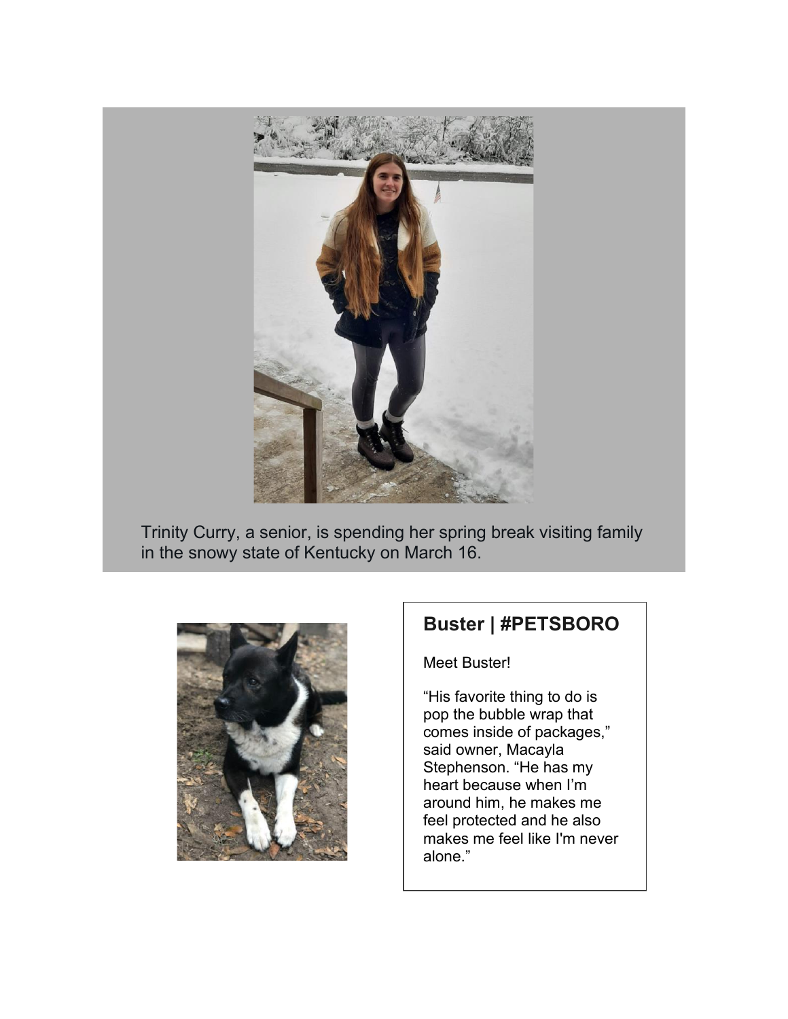

Trinity Curry, a senior, is spending her spring break visiting family in the snowy state of Kentucky on March 16.



#### **Buster | #PETSBORO**

Meet Buster!

"His favorite thing to do is pop the bubble wrap that comes inside of packages," said owner, Macayla Stephenson. "He has my heart because when I'm around him, he makes me feel protected and he also makes me feel like I'm never alone."